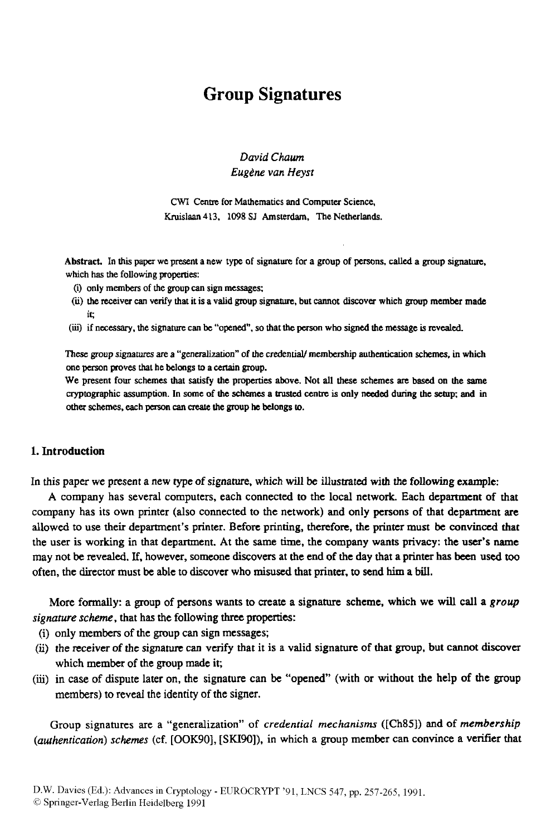# **Group Signatures**

*David Cham Eugtne van Heyst* 

CWi **Came for** Mathematics **and** Computer Science, Kruislaan **413, 1098** SJ **Amsterdam,** The Netherlands.

Abstract. In this **paper** we present a new type of signature for a group of **persons,** *called* a group signature, which has the following properties:

- (i) only members of the group *can* sign messages;
- *(ii)* the receiver can verify that it is a valid group signature, but cannot discover which group member made **it;**
- **(i)** if necessary, the signature **can** be "opened", **so** that **the person** who signed **the** message **is revealed.**

The group signatures are **a** "generalization" of the credential/ membership authentication schemes, in which one person proves that he belongs to a certain group.

We present four schemes that satisfy the properties above. Not all these schemes **arc based** on the **same**  cryptographic assumption. In some of the schemes a busted cenm **is** only needed **during** the setup; **and** in otha schemes, each **pason** *can create* the group he **belongs to.** 

# **1. Introduction**

In this paper we present a new type of signature, which will be illustrated with the following example:

A company has several computers, each connected to the local network. Each department of that company has its own printer (also connected to the network) and only persons of that department ate allowed to use their department's printer. Before printing, therefore. the printer **must be** convinced that the user is working in that department. At the same time, the company wants privacy: the user's name may not be revealed. If, however, someone discovers at the end of the **day** that a printer has been **used too**  often, the director must be able to discover who **misused** that printer, to send him a bill.

More formally: a group of persons wants to create a signature scheme, which we will call a *group* signature scheme, that has the following three properties:

- (i) only members of the group can sign messages;
- (ii) the receiver of the signature can verify that it is a valid signature of that group, but cannot discover which member of the group made it;
- **(iii)** in case of dispute later on, the signature can be "opened" (with or without the help of the group members) to reveal the identity of the signer.

Group signatures are a "generalization" of *credential mechanisms* ([ChSS]) **and of** *membership (authentication) schemes (cf. [OOK90], [SKI90]), in which a group member can convince a verifier that*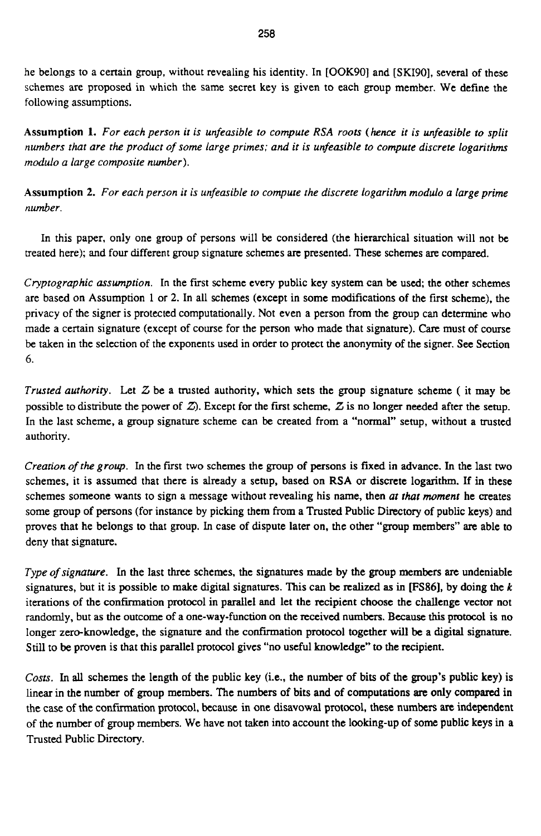he belongs to a certain group, without revealing his identity. **In** [00K90] and [SKI90], several of these schemes are proposed in which the same secret key is given to each group member. We define the following assumptions,

Assumption 1. For *each person ir is unfeasible to compute RSA roots (hence ir is unfeasible to split numbers thar are rhe product of some large primes; and it is unfeasible to compute discrere logarithms modulo a large composite number).* 

Assumption 2. For *each person ir is unfeasible to compute the discrete logarithm modulo a large prime nwnber.* 

In this paper, only one group of persons will be considered (the hierarchical situation will not be treated here); and four different group signature schemes **are** presented. These schemes *are* compared.

*Cryptographic assumption.* In the first scheme every public key system can be **used,** the other schemes are based **on** Assumption 1 or 2. In all schemes (except in some modifications of the first scheme), the privacy of the signer is protected computationally. Not even a person from the group **can** determine who made a certain signature (except of course for the person who made that signature). **Care** must of course be taken in the selection of the exponents **used** in order to protect the anonymity of the signer. See Section 6.

*Trusted authority*. Let Z be a trusted authority, which sets the group signature scheme ( it may be possible to distribute the power of *2).* Except for the first scheme, *2* is no longer needed after the setup. In the last scheme, a group signature scheme can be created from a "normal" setup, without a trusted authority.

*Creation of the group.* In the first two schemes the group of persons is fixed in advance. In the last two schemes, it is assumed that there is already a setup, based on **RSA** or discrete logarithm. If in these schemes someone **wants** to sign a message without revealing his name, then *at rhat moment* he creates some group of persons (for instance by picking them from a Trusted Public Directory of public keys) and proves that he belongs to that group. In case of dispute later on, the other ''group members" **are** able to deny that signature.

*Type of signamre.* In the last three schemes, the signatures made by the group members **are** undeniable signatures, but it is possible to make digital signatures. This can be realized as in  $[FS86]$ , by doing the  $k$ iterations of the confinnation protocol in parallel and let the recipient choose the challenge vector not randomly, but **as** the outcome of a one-way-function on the received numbers. Because **this** protocol is **no**  longer zero-knowledge, the signature and the confirnation protocol together will be a **digital** signature. Still to be proven is that this parallel protocol gives **"no** useful knowledge" to the recipient.

*Costs.* In **all** schemes the length of the public key (i.e., the number of bits of the group's public key) is linear in the number of group members. The **numbers** of bits and of computations **are** only compared in the case of the confirmation protocol, because in one disavowal protocol, these numbers **are** independent of the number of group members. We have not taken into account the looking-up of some public keys in a Trusted Public Directory.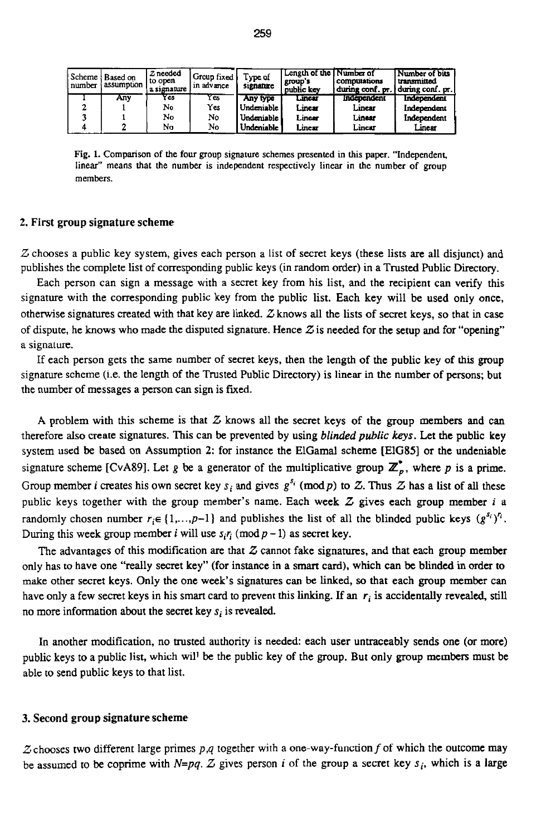|        |   |            |                     |             | ---        |                                    |                              |                               |
|--------|---|------------|---------------------|-------------|------------|------------------------------------|------------------------------|-------------------------------|
|        |   |            |                     |             |            |                                    |                              |                               |
|        |   |            |                     |             |            |                                    |                              |                               |
| Scheme |   | Based on   | 2 needed<br>to open | Group fixed | Type of    | Length of the Number of<br>group's | computations                 | Number of bits<br>transmitted |
| number |   | assumption | a signature         | in advance  | signature  | public key                         | during conf. <del>pr</del> . | during conf. pr.              |
|        |   | Any        | Yes                 | Yes         | Any type   | <b>Linear</b>                      | <b>Independent</b>           | Independent                   |
|        | 2 |            | No                  | Yes         | Undeniable | Linear                             | Linear                       | Independent                   |
|        |   |            | No                  | No          | Undeniable | Linear                             | Linear                       | Independent                   |
| 4      |   | ◠          | No                  | No          | Undeniable | Linear                             | Linear                       | Linear                        |
|        |   |            |                     |             |            |                                    |                              |                               |

Fig. 1. Comparison of the four group signature schemes presented in this paper. "Independent. **linear" means that the number is independent respectively linear in the number** of **group members.** 

#### **2.** First group signature scheme

 $Z$  chooses a public key system, gives each person a list of secret keys (these lists are all disjunct) and publishes the complete list of corresponding public keys (in random order) in a Trusted Public Directory.

Each person can sign a message with a secret key from his list, and the recipient can verify this signature with the corresponding public key from the public list. Each key will be used only once, otherwise signatures created with that key are linked. *2* knows all the lists of secret keys, so that in case of dispute, he knows who made the disputed signature. Hence  $Z$  is needed for the setup and for "opening" a signature.

If each person gets the same number of secret keys, then the length of the public key of this group signature scheme (i.e. the length of the Trusted Public Directory) is linear in the number of persons; but the number of messages a person can sign is fixed.

A problem with this scheme is that *2* knows all the secret keys of the group members and can therefore also create signatures. This can be prevented by using *blinded public keys.* Let the public key system used be based on Assumption **2:** for instance the ElGamal scheme [ElG85] or the undeniable signature scheme [CvA89]. Let g be a generator of the multiplicative group  $\mathbb{Z}_p^*$ , where p is a prime. Group member *i* creates his own secret key  $s_i$  and gives  $g^{s_i}$  (mod p) to Z. Thus Z has a list of all these public keys together with the group member's name. Each week *2* gives each group member *i* a randomly chosen number  $r_i \in \{1, \ldots, p-1\}$  and publishes the list of all the blinded public keys  $(g^{s_i})^{r_i}$ . During this week group member *i* will use  $s_i r_i \pmod{p-1}$  as secret key.

The advantages of this modification **are** that *2* cannot fake signatures, and that each group member only has to have one "really secret key" (for instance in a smart card), which can be blinded in order to make other secret keys. Only the one week's signatures can be linked, *so* that each group member can have only a few secret keys in his smart card to prevent this linking. If **an** *ri* is accidentally revealed, **still**  no more information about the secret key *si* **is** revealed.

In another modification, no trusted authority is needed: each user untraceably sends one *(or* more) public keys to a public list, which will be the public key of the group. But only group members **must** be able to send public keys to that list.

## **3.** Second group signature scheme

 $Z$  chooses two different large primes  $p,q$  together with a one-way-function f of which the outcome may be assumed to be coprime with  $N=pq$ .  $Z$  gives person *i* of the group a secret key  $s_i$ , which is a large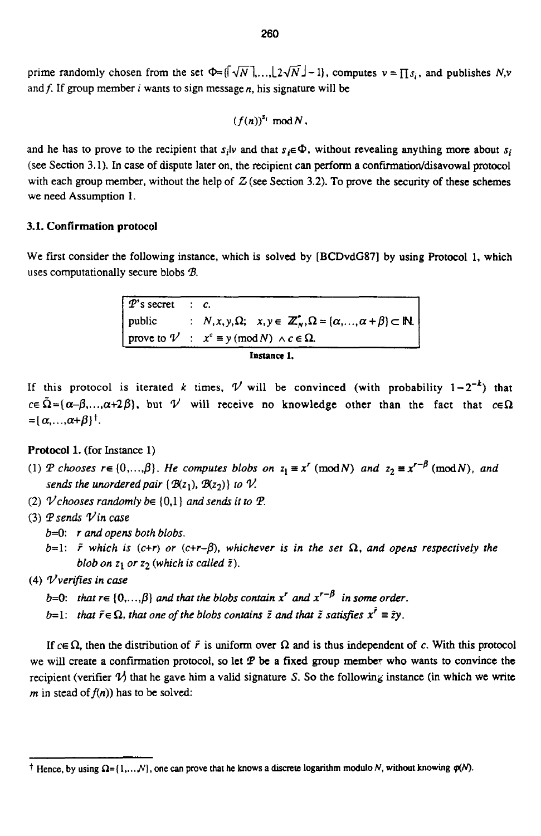prime randomly chosen from the set *(O=(rfil,* ..., L2fiJ- l), computes *v* = **nsi,** and publishes *N,v*  and  $f$ . If group member  $i$  wants to sign message  $n$ , his signature will be

$$
(f(n))^{s_i} \bmod N,
$$

and he has to prove to the recipient that  $s_i|v$  and that  $s_i \in \Phi$ , without revealing anything more about  $s_i$ (see Section *3.1).* In case of dispute later **on,** the recipient can perform a confirmatioddisavowal protocol with each group member, without the help of  $Z$  (see Section 3.2). To prove the security of these schemes we need Assumption 1.

## **3.1. Confirmation protocol**

We first consider the following instance, which is solved by [BCDvdG87] by using Protocol 1, which uses computationally secure blobs *B.* 

> $P$ 's secret :  $c$ . public :  $N, x, y, \Omega;$   $x, y \in \mathbb{Z}_N^*$ ,  $\Omega = \{ \alpha, ..., \alpha + \beta \} \subset \mathbb{N}$ . prove to  $\mathcal{V}$  :  $x^c \equiv y \pmod{N}$   $\land$   $c \in \Omega$ . **Instance 1.**



If this protocol is iterated *k* times,  $\nu$  will be convinced (with probability  $1-2^{-k}$ ) that  $c \in \tilde{\Omega} = {\alpha-\beta,...,\alpha+2\beta}$ , but  $\mathcal V$  will receive no knowledge other than the fact that  $c \in \Omega$  $= {\alpha, \ldots, \alpha+\beta}^{\dagger}$ .

## Protocol **1.** (for Instance 1)

- (1) *P* chooses  $r \in \{0, ..., \beta\}$ . He computes blobs on  $z_1 \equiv x^r \pmod{N}$  and  $z_2 \equiv x^{r-\beta} \pmod{N}$ , and *sends the unordered pair*  $\{B(z_1), B(z_2)\}\$  *to*  $\mathcal V$ *.*
- (2)  $\mathcal V$ *chooses randomly b* $\in$  {0.1} *and sends it to*  $\mathcal P$ *.*

(3) *T sends* **?/in case** 

- *b=O: r and opens both blobs.*
- $b=1$ :  $\tilde{r}$  which is (c+r) or (c+r- $\beta$ ), whichever is in the set  $\Omega$ , and opens respectively the *blob on*  $z_1$  *or*  $z_2$  *(which is called*  $\bar{z}$ *).*
- **(4)** *?/verifies in case* 
	- *b*=0: *that r* $\in$  {0,..., $\beta$ } *and that the blobs contain x<sup>r</sup> and*  $x^{r-\beta}$  *<i>in some order.*
	- *b*=1: *that*  $\bar{r} \in \Omega$ , *that one of the blobs contains*  $\bar{z}$  *and that*  $\tilde{z}$  *satisfies*  $x^{\bar{r}} \equiv \tilde{z}y$ *.*

If  $c \in \Omega$ , then the distribution of  $\tilde{r}$  is uniform over  $\Omega$  and is thus independent of c. With this protocol we will create a confirmation protocol, so let  $P$  be a fixed group member who wants to convince the recipient (verifier  $\psi$ ) that he gave him a valid signature *S*. So the following instance (in which we write *m* in stead of  $f(n)$ ) has to be solved:

<sup>&</sup>lt;sup>†</sup> Hence, by using  $\Omega = \{1,...,N\}$ , one can prove that he knows a discrete logarithm modulo N, without knowing  $\varphi(N)$ .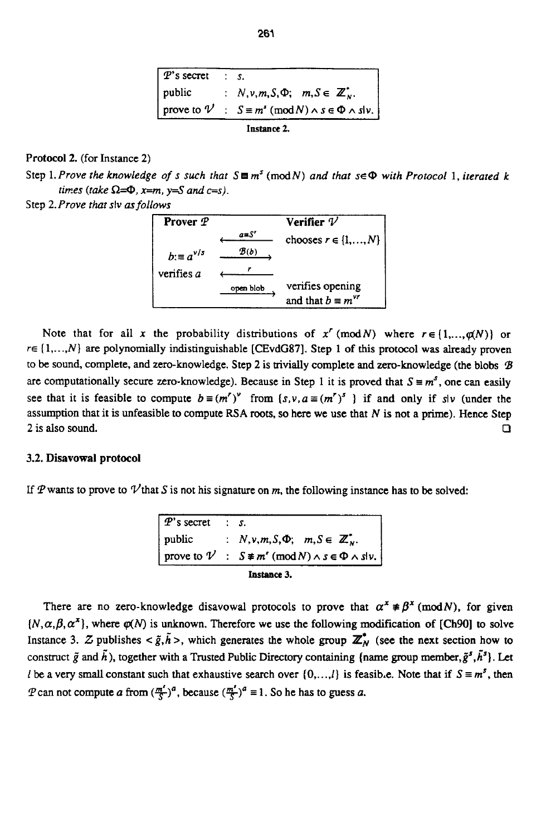```

public : N, v, m, S, \Phi; m, S \in \mathbb{Z}_N^*.
                                                   7 
prove to V: S \equiv m^x \pmod{N} \land s \in \Phi \land s|v.
                    Instance 2.
```
## Protocol 2. (for Instance 2)

Step 1. Prove the knowledge of *s* such that  $S \equiv m^s \pmod{N}$  and that  $s \in \Phi$  with Protocol 1, iterated *k*  $times$  (take  $\Omega = \Phi$ ,  $x=m$ ,  $y=S$  and  $c=s$ ).

Step 2. Prove that sIv as *follows* 

| $=$ m, y=S and c=s).<br>'lows |              |                                                |
|-------------------------------|--------------|------------------------------------------------|
| <b>Prover</b> $P$             |              | Verifier $\bm{\mathcal{V}}$                    |
| $b:=a^{\nu/s}$                | a≡S'<br>B(b) | chooses $r \in \{1, , N\}$                     |
| verifies a                    |              |                                                |
|                               | open blob    | verifies opening<br>and that $b \equiv m^{vr}$ |

Note that for all *x* the probability distributions of  $x^r \pmod{N}$  where  $r \in \{1, ..., \alpha(N)\}\$  or  $r \in \{1, \ldots, N\}$  are polynomially indistinguishable [CEvdG87]. Step 1 of this protocol was already proven to be sound, complete, and zero-knowledge. Step 2 is trivially complete and zero-knowledge (the blobs  $\mathcal B$ are computationally secure zero-knowledge). Because in Step 1 it is proved that  $S \equiv m^s$ , one can easily see that it is feasible to compute  $b = (m')^{\nu}$  from  $\{s, v, a = (m')^{\nu}\}$  if and only if siv (under the assumption that it is unfeasible to compute RSA roots. so here we use that *N* is not a prime). Hence Step 2 is also sound.  $\Box$ 

# 3.2. **Disavowal protocol**

If  $P$  wants to prove to  $\mathcal V$  that S is not his signature on m, the following instance has to be solved:

| $P$ 's secret          | : $s$ .                                                          |
|------------------------|------------------------------------------------------------------|
| public                 | : $N, v, m, S, \Phi$ ; $m, S \in \mathbb{Z}_N^*$ .               |
| prove to $\mathcal{V}$ | : $S \neq m' \pmod{N}$ $\land s \in \Phi \land s \downarrow v$ . |
| Instance 3.            |                                                                  |

There are no zero-knowledge disavowal protocols to prove that  $\alpha^x \neq \beta^x \pmod{N}$ , for given  $\{N,\alpha,\beta,\alpha^{\chi}\}\$ , where  $\varphi(N)$  is unknown. Therefore we use the following modification of [Ch90] to solve Instance 3.  $Z$  publishes  $\lt \tilde{g}, \tilde{h}$  >, which generates the whole group  $\mathbb{Z}_N^*$  (see the next section how to ( $N, \alpha, \beta, \alpha^x$ ), where  $\varphi(N)$  is unknown. Therefore we use the following modification of [Ch90] to solve<br>Instance 3. Z publishes  $\langle \xi, \tilde{h} \rangle$ , which generates the whole group  $\mathbb{Z}_N^*$  (see the next section how to<br> *l* be a very small constant such that exhaustive search over  $\{0, \ldots, l\}$  is feasible. Note that if  $S \equiv m^s$ , then P can not compute a from  $(\frac{m'}{s})^a$ , because  $(\frac{m'}{s})^a \equiv 1$ . So he has to guess a.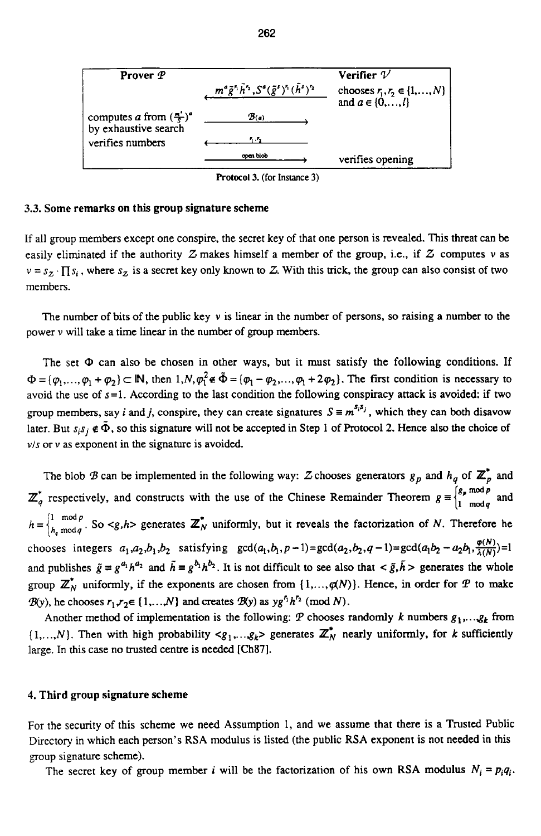

**Protocol 3. (for Instance 3)** 

#### **3.3.** Some **remarks on this group signature scheme**

If all group members except one conspire, the secret key of that one person is revealed. **This** threat can be easily eliminated if the authority *2* makes himself a member of the group, i.e., if *2* computes v as  $v = s_z$ .  $\prod s_i$ , where  $s_z$  is a secret key only known to Z. With this trick, the group can also consist of two members.

The number of bits of the public key v is linear in the number of persons, so raising a number to the power v will take a time linear in the number of group members.

The set  $\Phi$  can also be chosen in other ways, but it must satisfy the following conditions. If  $\Phi = {\varphi_1, \ldots, \varphi_1 + \varphi_2} \subset \mathbb{N}$ , then  $1, N, \varphi_1^2 \notin \tilde{\Phi} = {\varphi_1 - \varphi_2, \ldots, \varphi_1 + 2\varphi_2}$ . The first condition is necessary to avoid the use of  $s=1$ . According to the last condition the following conspiracy attack is avoided: if two group members, say *i* and *j*, conspire, they can create signatures  $S \equiv m^{s_i s_j}$ , which they can both disavow later. But  $s_i s_j \notin \tilde{\Phi}$ , so this signature will not be accepted in Step 1 of Protocol 2. Hence also the choice of *v/s* or **v** as exponent in the signature is avoided.

The blob B can be implemented in the following way: Z chooses generators  $g_p$  and  $h_q$  of  $\mathbb{Z}_p^*$  and  $\mathbb{Z}_q^*$  respectively, and constructs with the use of the Chinese Remainder Theorem  $g = \begin{cases} g_r \mod p \\ 1 \mod q \end{cases}$  and  $h \equiv \begin{cases} 1 & \text{mod } p \\ h & \text{mod } q \end{cases}$ . So  $\lt g, h$  generates  $\mathbb{Z}_N^*$  uniformly, but it reveals the factorization of *N*. Therefore he chooses integers  $a_1, a_2, b_1, b_2$  satisfying  $gcd(a_1, b_1, p - 1) = gcd(a_2, b_2, q - 1) = gcd(a_1b_2 - a_2b_1, \frac{\varphi(N)}{\lambda(N)}) = 1$ and publishes  $\tilde{g} \equiv g^{a_1} h^{a_2}$  and  $\tilde{h} \equiv g^{b_1} h^{b_2}$ . It is not difficult to see also that  $\langle \tilde{g}, \tilde{h} \rangle$  generates the whole group  $\mathbb{Z}_N^*$  uniformly, if the exponents are chosen from  $\{1,\ldots,\varphi(N)\}\)$ . Hence, in order for  $\mathcal P$  to make  $\mathcal{B}(y)$ , he chooses  $r_1, r_2 \in \{1, ..., N\}$  and creates  $\mathcal{B}(y)$  as  $yg^{r_1}h^{r_2} \pmod{N}$ .

Another method of implementation is the following:  $P$  chooses randomly  $k$  numbers  $g_1, \ldots, g_k$  from  $\{1,...,N\}$ . Then with high probability  $\langle g_1,...,g_k\rangle$  generates  $\mathbb{Z}_N^*$  nearly uniformly, for *k* sufficiently large. In this case no trusted centre **is** needed [Ch87].

## **4. Third group signature scheme**

For the security of this scheme we need Assumption 1, and we assume that there is a Trusted **Public**  Directory in which each person's **RSA** modulus is listed (the public RSA exponent is not needed in this group signature scheme).

The secret key of group member *i* will be the factorization of his own RSA modulus  $N_i = p_iq_i$ .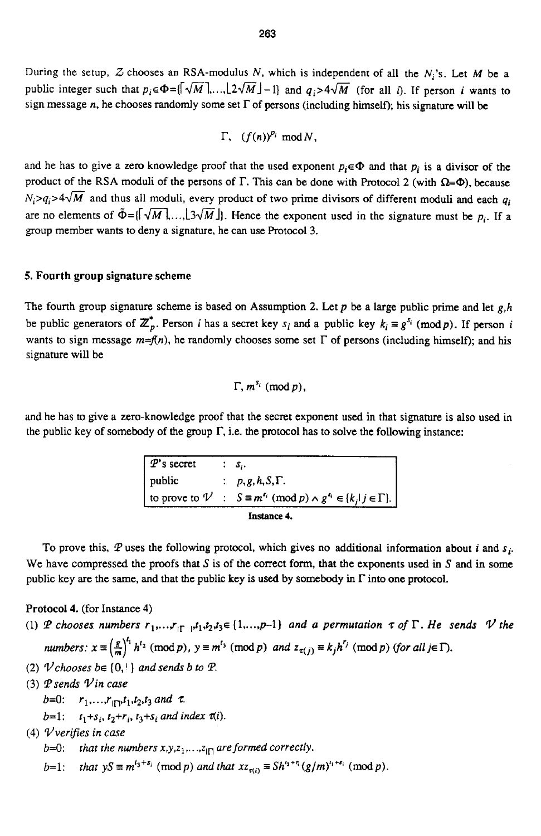During the setup,  $Z$  chooses an RSA-modulus  $N$ , which is independent of all the  $N_i$ 's. Let  $M$  be a public integer such that  $p_i \in \Phi = \sqrt{\frac{m}{M}}$ ,..., $\lfloor 2\sqrt{M} \rfloor - 1$  and  $q_i > 4\sqrt{M}$  (for all *i*). If person *i* wants to sign message *n*, he chooses randomly some set  $\Gamma$  of persons (including himself); his signature will be

$$
\Gamma, \quad (f(n))^{p_i} \bmod N,
$$

and he has to give a zero knowledge proof that the used exponent  $p_i \in \Phi$  and that  $p_i$  is a divisor of the product of the RSA moduli of the persons of  $\Gamma$ . This can be done with Protocol 2 (with  $\Omega = \Phi$ ), because  $N_i > q_i > 4\sqrt{M}$  and thus all moduli, every product of two prime divisors of different moduli and each  $q_i$ are no elements of  $\tilde{\Phi}=[\sqrt{M}],...,[3\sqrt{M}]\rangle$ . Hence the exponent used in the signature must be  $p_i$ . If a group member wants to deny a signature, he can use Protocol **3.** 

## *5.* Fourth group signature scheme

The fourth group signature scheme is based on Assumption **2.** Let *p* be a large public prime and let *g,h*  be public generators of  $\mathbb{Z}_p^*$ . Person *i* has a secret key  $s_i$  and a public key  $k_i \equiv g^{s_i} \pmod{p}$ . If person *i* wants to sign message  $m=f(n)$ , he randomly chooses some set  $\Gamma$  of persons (including himself); and his signature will be

$$
\Gamma, m^{s_i} \pmod{p},
$$

and he has to give a zero-knowledge proof that the secret exponent used in that signature is also used in the public key of somebody of the group  $\Gamma$ , i.e. the protocol has to solve the following instance:

> $\overline{P}$ 's secret :  $s_i$ . to prove to  $\mathcal{V}$  :  $S \equiv m^{t_i} \pmod{p} \wedge g^{t_i} \in \{k_i | j \in \Gamma\}.$ **Instance 4.**  public :  $p, g, h, S, \Gamma$ .

To prove this, *T* uses the following protocol, which gives no additional information about *i* and *si.*  We have compressed the proofs that  $S$  is of the correct form, that the exponents used in  $S$  and in some public key are the same, and that the public key is used by somebody in  $\Gamma$  into one protocol.

Protocol **4.** (for Instance **4)** 

- (1)  $\mathcal P$  *chooses numbers*  $r_1, \ldots, r_{|\Gamma|}, t_1, t_2, t_3 \in \{1, \ldots, p-1\}$  and a permutation  $\tau$  of  $\Gamma$ . He sends  $\mathcal V$  the  $numbers: x \equiv \left(\frac{g}{m}\right)^{t_1} h^{t_2} \pmod{p}, y \equiv m^{t_3} \pmod{p} \text{ and } z_{\tau(j)} \equiv k_j h^{r_j} \pmod{p} \text{ (for all } j \in \Gamma).$
- (2)  $\mathcal{V}$ *chooses b* $\in$  {0, <sup>1</sup>} *and sends b to P*.
- $(3)$   $P$  sends  $V$  in case
	- *b*=0:  $r_1$ ,..., $r_{\text{IPP}}t_1$ , $t_2$ , $t_3$  *and*  $\tau$ .
	- *b*=1:  $t_1 + s_i$ ,  $t_2 + r_i$ ,  $t_3 + s_i$  and index  $\tau(i)$ .

 $(4)$   $\mathcal V$  verifies in case

- $b=0$ : *that the numbers*  $x, y, z_1, \ldots, z_{\text{max}}$  *are formed correctly.*
- *b*=1: *that*  $yS \equiv m^{t_3+s_i} \pmod{p}$  *and that*  $xz_{\tau(i)} \equiv Sh^{t_2+s_i} (g/m)^{t_1+s_i} \pmod{p}$ .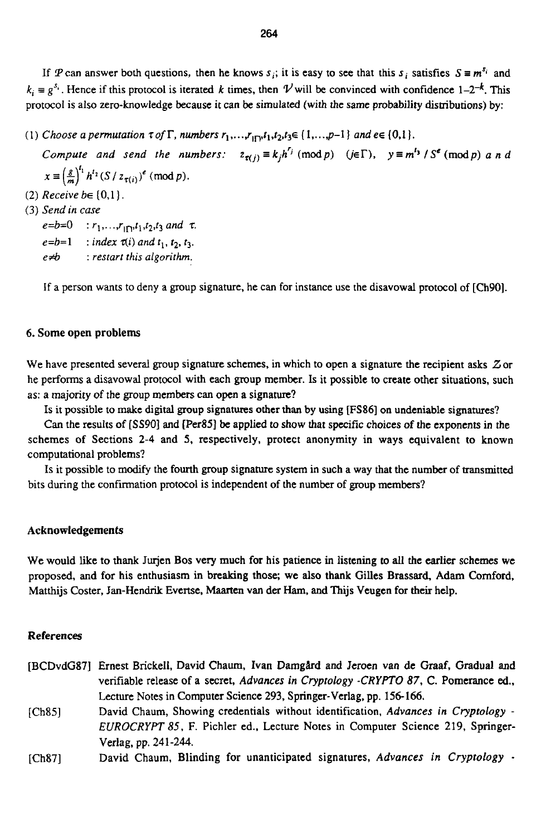If P can answer both questions, then he knows  $s_i$ ; it is easy to see that this  $s_i$  satisfies  $S = m^{s_i}$  and  $k_i = g^{s_i}$ . Hence if this protocol is iterated *k* times, then  $\nu$  will be convinced with confidence 1-2<sup>-k</sup>. This protocol is also zero-knowledge because it can be simulated (with the same probability distributions) by:

(1) Choose a permutation  $\tau$  of  $\Gamma$ , *numbers*  $r_1, ..., r_{\vert \Gamma\vert}, t_1, t_2, t_3 \in \{1, ..., p-1\}$  and  $e \in \{0, 1\}$ .

*Compute and send the numbers:*  $z_{\tau(j)} \equiv k_j h^{r_j} \pmod{p}$   $(j \in \Gamma)$ ,  $y \equiv m^{l_3} / S^e \pmod{p}$  *a n d*  $x \equiv \left(\frac{g}{m}\right)^{l_1} h^{l_2} (S / z_{\tau(i)})^e \pmod{p}.$  $(2)$  *Receive b* $\in$   $\{0,1\}$ . (3) *Send in case* 

 $e=b=0$  :  $r_1,...,r_{\text{ID}},t_1,t_2,t_3$  and  $\tau$ .  $e=b=1$  : *index*  $\tau(i)$  *and*  $t_1, t_2, t_3$ . **e&** : *restart this algorithm.* 

If **a** person wants to deny a group signature, he can for instance use the disavowal protocol of [Ch90].

## 6. Some open problems

We have presented several group signature schemes, in which to open a signature the recipient asks *2* or he performs a disavowal protocol with each group member. Is it possible to create other situations, such as: a majority of the group members can open a signature?

Is it possible to make digital group signatures other **than** by using **[FS86]** on undeniable signatures?

**Can** the results of **[SSW]** and [Per851 be applied to show that specific choices of the exponents in the schemes of Sections **2-4** and *5,* respectively, protect anonymity in ways equivalent to known computational problems?

Is it possible to modify the fourth group signature system in such a way that the number of transmitted bits during the confirmation protocol is independent of the number of group members?

#### Acknowledgements

We would like to thank Jurjen Bos very much for his patience in listening to all the earlier schemes we proposed, and for his enthusiasm in breaking those; we **also** thank Gilles Brassard, Adam Cornford. Matthijs Coster, Jan-Hendrik Evense, Maarten van der Ham, and Thijs Veugen for their help.

## References

- [BCDvdG87] Ernest Brickell, David Chaum. Ivan DamgArd and Jeroen van de Graaf, Gradual and verifiable release of a secret, *Advances in* **Cryprology** *-CRYPT0 87,* C. Pomerance ed., Lecture Notes in Computer Science 293, Springer-Verlag, pp. **156-166.**
- David Chaum, Showing credentials without identification, *Advances in* **Cryprology**  *EUROCRYPT* **85,** F. Pichler ed., Lecture Notes in Computer Science 219, Springer-Verlag, pp. **241** -244. [ChSS]
- David Chaum, Blinding for unanticipated signatures, *Advances in Cryprofogy*  [Ch87]

**264**